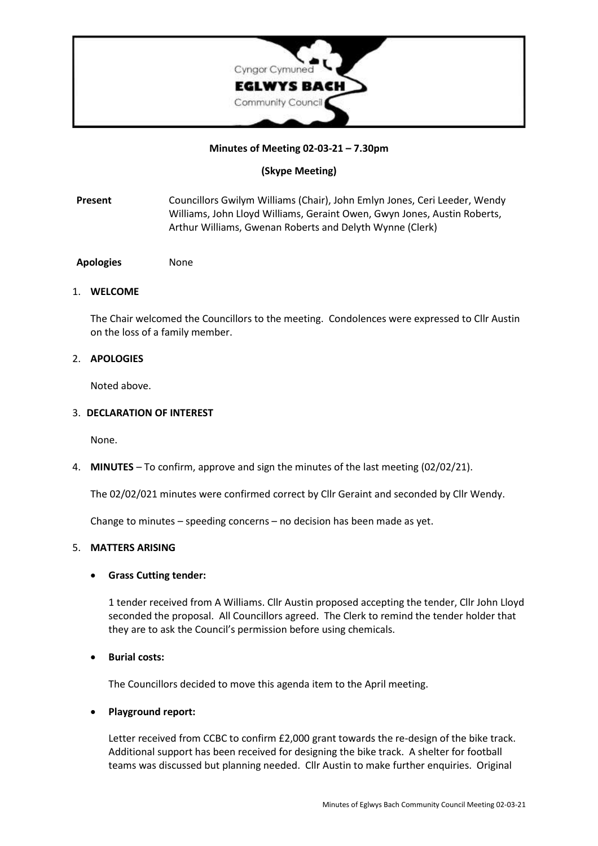

## **Minutes of Meeting 02-03-21 – 7.30pm**

# **(Skype Meeting)**

- **Present** Councillors Gwilym Williams (Chair), John Emlyn Jones, Ceri Leeder, Wendy Williams, John Lloyd Williams, Geraint Owen, Gwyn Jones, Austin Roberts, Arthur Williams, Gwenan Roberts and Delyth Wynne (Clerk)
- **Apologies** None

#### 1. **WELCOME**

The Chair welcomed the Councillors to the meeting. Condolences were expressed to Cllr Austin on the loss of a family member.

## 2. **APOLOGIES**

Noted above.

#### 3. **DECLARATION OF INTEREST**

None.

4. **MINUTES** – To confirm, approve and sign the minutes of the last meeting (02/02/21).

The 02/02/021 minutes were confirmed correct by Cllr Geraint and seconded by Cllr Wendy.

Change to minutes – speeding concerns – no decision has been made as yet.

## 5. **MATTERS ARISING**

## • **Grass Cutting tender:**

1 tender received from A Williams. Cllr Austin proposed accepting the tender, Cllr John Lloyd seconded the proposal. All Councillors agreed. The Clerk to remind the tender holder that they are to ask the Council's permission before using chemicals.

## • **Burial costs:**

The Councillors decided to move this agenda item to the April meeting.

## • **Playground report:**

Letter received from CCBC to confirm £2,000 grant towards the re-design of the bike track. Additional support has been received for designing the bike track. A shelter for football teams was discussed but planning needed. Cllr Austin to make further enquiries. Original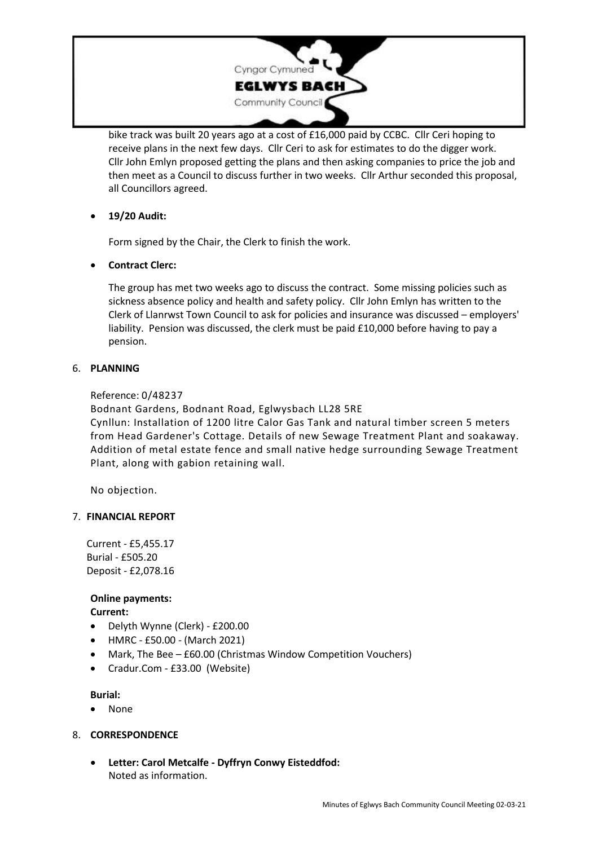

bike track was built 20 years ago at a cost of £16,000 paid by CCBC. Cllr Ceri hoping to receive plans in the next few days. Cllr Ceri to ask for estimates to do the digger work. Cllr John Emlyn proposed getting the plans and then asking companies to price the job and then meet as a Council to discuss further in two weeks. Cllr Arthur seconded this proposal, all Councillors agreed.

# • **19/20 Audit:**

Form signed by the Chair, the Clerk to finish the work.

# • **Contract Clerc:**

The group has met two weeks ago to discuss the contract. Some missing policies such as sickness absence policy and health and safety policy. Cllr John Emlyn has written to the Clerk of Llanrwst Town Council to ask for policies and insurance was discussed – employers' liability. Pension was discussed, the clerk must be paid £10,000 before having to pay a pension.

## 6. **PLANNING**

Reference: 0/48237

Bodnant Gardens, Bodnant Road, Eglwysbach LL28 5RE

Cynllun: Installation of 1200 litre Calor Gas Tank and natural timber screen 5 meters from Head Gardener's Cottage. Details of new Sewage Treatment Plant and soakaway. Addition of metal estate fence and small native hedge surrounding Sewage Treatment Plant, along with gabion retaining wall.

No objection.

## 7. **FINANCIAL REPORT**

Current - £5,455.17 Burial - £505.20 Deposit - £2,078.16

#### **Online payments: Current:**

- 
- Delyth Wynne (Clerk) £200.00
- HMRC £50.00 (March 2021)
- Mark, The Bee £60.00 (Christmas Window Competition Vouchers)
- Cradur.Com £33.00 (Website)

**Burial:**

- None
- 8. **CORRESPONDENCE**
	- **Letter: Carol Metcalfe - Dyffryn Conwy Eisteddfod:** Noted as information.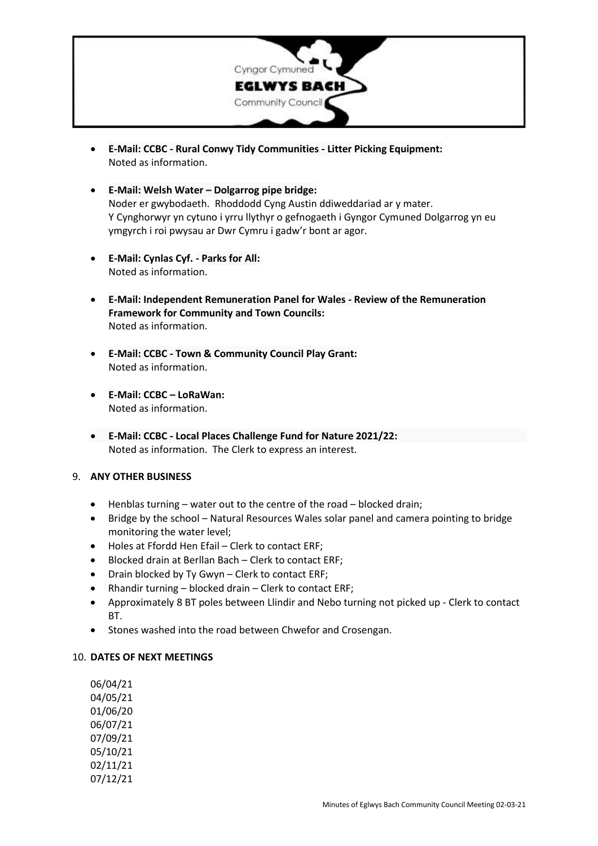

- **E-Mail: CCBC - Rural Conwy Tidy Communities - Litter Picking Equipment:** Noted as information.
- **E-Mail: Welsh Water – Dolgarrog pipe bridge:** Noder er gwybodaeth. Rhoddodd Cyng Austin ddiweddariad ar y mater. Y Cynghorwyr yn cytuno i yrru llythyr o gefnogaeth i Gyngor Cymuned Dolgarrog yn eu ymgyrch i roi pwysau ar Dwr Cymru i gadw'r bont ar agor.
- **E-Mail: Cynlas Cyf. - Parks for All:** Noted as information.
- **E-Mail: Independent Remuneration Panel for Wales - Review of the Remuneration Framework for Community and Town Councils:** Noted as information.
- **E-Mail: CCBC - Town & Community Council Play Grant:** Noted as information.
- **E-Mail: CCBC – LoRaWan:** Noted as information.
- **E-Mail: CCBC - Local Places Challenge Fund for Nature 2021/22:** Noted as information. The Clerk to express an interest.

## 9. **ANY OTHER BUSINESS**

- Henblas turning water out to the centre of the road blocked drain;
- Bridge by the school Natural Resources Wales solar panel and camera pointing to bridge monitoring the water level;
- Holes at Ffordd Hen Efail Clerk to contact ERF;
- Blocked drain at Berllan Bach Clerk to contact ERF;
- Drain blocked by Ty Gwyn Clerk to contact ERF;
- Rhandir turning blocked drain Clerk to contact ERF;
- Approximately 8 BT poles between Llindir and Nebo turning not picked up Clerk to contact BT.
- Stones washed into the road between Chwefor and Crosengan.

## 10. **DATES OF NEXT MEETINGS**

06/04/21 04/05/21 01/06/20 06/07/21 07/09/21 05/10/21 02/11/21 07/12/21